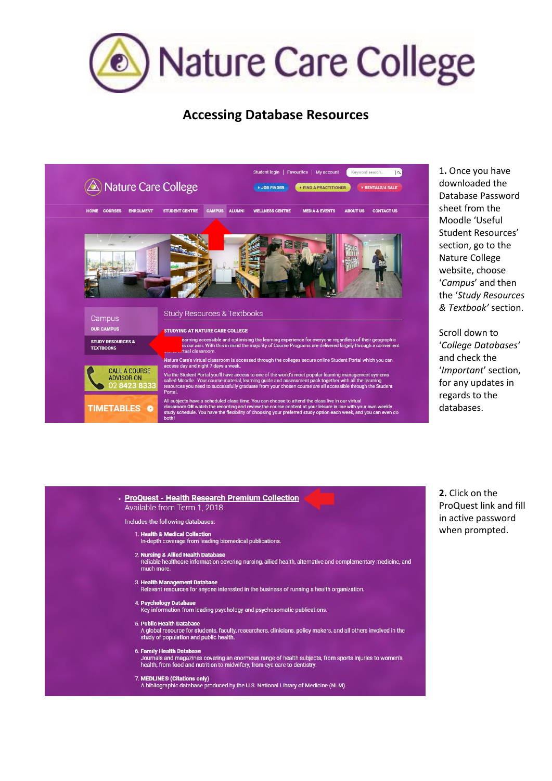

## **Accessing Database Resources**



1**.** Once you have downloaded the Database Password sheet from the Moodle 'Useful Student Resources' section, go to the Nature College website, choose '*Campus*' and then the '*Study Resources & Textbook'* section.

Scroll down to '*College Databases'* and check the '*Important*' section, for any updates in regards to the databases.

| Available from Term 1, 2018                                                                                                                                                                                     |
|-----------------------------------------------------------------------------------------------------------------------------------------------------------------------------------------------------------------|
| Includes the following databases:                                                                                                                                                                               |
| 1. Health & Medical Collection<br>In-depth coverage from leading biomedical publications.                                                                                                                       |
| 2. Nursing & Allied Health Database<br>Reliable healthcare information covering nursing, allied health, alternative and complementary medicine, and<br>much more.                                               |
| 3. Health Management Database<br>Relevant resources for anyone interested in the business of running a health organization.                                                                                     |
| 4. Psychology Database<br>Key information from leading psychology and psychosomatic publications.                                                                                                               |
| 5. Public Health Database<br>A global resource for students, faculty, researchers, clinicians, policy makers, and all others involved in the<br>study of population and public health.                          |
| 6. Family Health Database<br>Journals and magazines covering an enormous range of health subjects, from sports injuries to women's<br>health, from food and nutrition to midwifery, from eye care to dentistry. |
| 7. MEDLINE® (Citations only)<br>A bibliographic database produced by the U.S. National Library of Medicine (NLM).                                                                                               |

**2.** Click on the ProQuest link and fill in active password when prompted.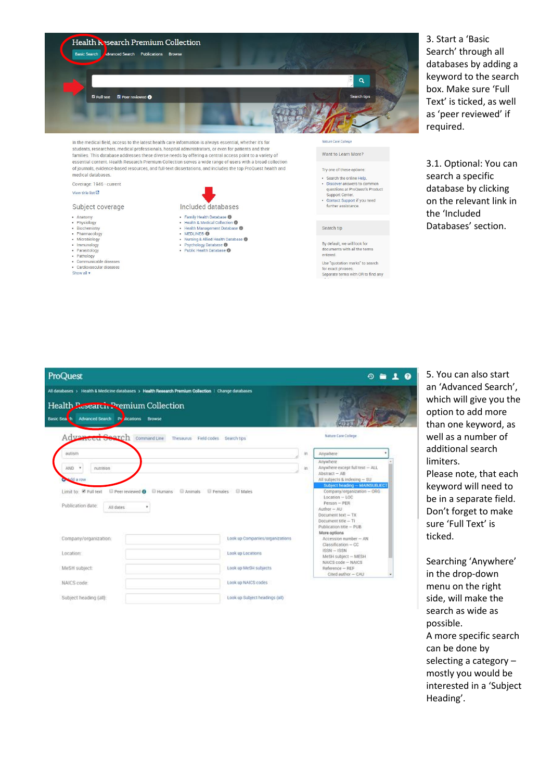

students, researchers, medical professionals, hospital administrators, or even for patients and their families. This database addresses these diverse needs by offering a central access point to a variety of<br>essential content. Health Research Premium Collection serves a wide range of users with a broad collection of journals, evidence-based resources, and full-text dissertations, and includes the top ProQuest health and medical databases.

Coverage: 1946 - current

### View title list  $\Box$

### Subject coverage

- · Anatomy · Physiology
- Physiology<br>• Biochemistry<br>• Pharmacology<br>• Microbiology<br>• Parasitology<br>• Parasitology
- 
- 
- 
- · Pathology<br>· Communicable diseases
- · Cardiovascular diseases

Subject heading (all)

Show all  $\star$ 

Included databases • Family Health Database · Health & Medical Collection · Health Management Database

- Heliu Millian China<br>• Missing & Allied Health Database<br>• Psychology Database<br>• Public Health Database
- -

| come care couche |  |                     |
|------------------|--|---------------------|
|                  |  |                     |
|                  |  | Want to Learn More' |

# Try one of these options: · Search the online Help. • Search the online Help.<br>• Discover answers to common<br>questions at ProQuest's Product<br>Support Center.<br>• Contact Support if you need<br>further assistance.

#### Search tip

By default we will look for by account, we will look for<br>documents with all the terms<br>entered.

Use "quotation marks" to search for exact phrases.<br>Separate terms with OR to find any

3. Start a 'Basic Search' through all databases by adding a keyword to the search box. Make sure 'Full Text' is ticked, as well as 'peer reviewed' if required.

3.1. Optional: You can search a specific database by clicking on the relevant link in the 'Included Databases' section.

| ProQuest<br>⊕<br>All databases > Health & Medicine databases > Health Research Premium Collection   Change databases<br>Health Research Premium Collection<br>Advanced Search Producations<br><b>Basic Sea th</b><br><b>Browse</b> |                                   |      |                                                                                                                                                                                                                                                                                                       |  |  |  |  |  |
|------------------------------------------------------------------------------------------------------------------------------------------------------------------------------------------------------------------------------------|-----------------------------------|------|-------------------------------------------------------------------------------------------------------------------------------------------------------------------------------------------------------------------------------------------------------------------------------------------------------|--|--|--|--|--|
| Advanced Search<br>Command Line                                                                                                                                                                                                    | Thesaurus Field codes Search tips |      | Nature Care College                                                                                                                                                                                                                                                                                   |  |  |  |  |  |
| autism                                                                                                                                                                                                                             |                                   | irt. | Anywhere                                                                                                                                                                                                                                                                                              |  |  |  |  |  |
| AND *<br>nutrition.<br>add a row<br>E Peer reviewed <b>O</b> E Humans E Animals E Females E Males<br>Limit to C Full text<br>Publication date:<br>All dates<br>٠                                                                   |                                   | in.  | Anwhere<br>Anywhere except full text - ALL<br>Abstract - AB<br>All subjects & indexing - SU<br>Subject heading - MAINSUBJECT<br>Company/organization - ORG<br>$Location - LOC$<br>Person - PER<br>Author - AU<br>Document text - TX<br>Document title - Ti<br>Publication title - PUB<br>More options |  |  |  |  |  |
| Company/organization:                                                                                                                                                                                                              | Look up Companies/organizations   |      | $A$ ccession number $-$ AN<br>Classification - CC                                                                                                                                                                                                                                                     |  |  |  |  |  |
|                                                                                                                                                                                                                                    |                                   |      |                                                                                                                                                                                                                                                                                                       |  |  |  |  |  |
| Location:                                                                                                                                                                                                                          | Look up Locations                 |      | $ISSN - ISSN$<br>McSH subject - MESH                                                                                                                                                                                                                                                                  |  |  |  |  |  |
| MeSH subject:                                                                                                                                                                                                                      | Look up MeSH subjects             |      | NAICS code - NAICS<br>Reference - REF<br>Cited author - CAU                                                                                                                                                                                                                                           |  |  |  |  |  |

Look up Subject headings (all)

5. You can also start an 'Advanced Search', which will give you the option to add more than one keyword, as well as a number of additional search limiters. Please note, that each keyword will need to be in a separate field. Don't forget to make sure 'Full Text' is ticked.

Searching 'Anywhere' in the drop-down menu on the right side, will make the search as wide as possible. A more specific search can be done by selecting a category  $$ mostly you would be interested in a 'Subject Heading'.